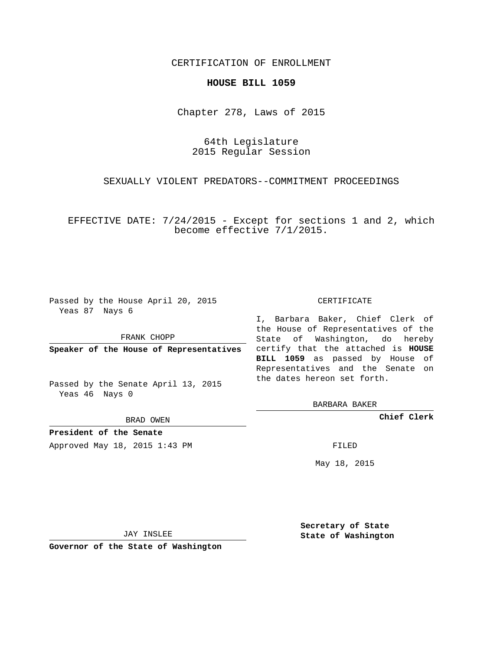## CERTIFICATION OF ENROLLMENT

#### **HOUSE BILL 1059**

Chapter 278, Laws of 2015

64th Legislature 2015 Regular Session

SEXUALLY VIOLENT PREDATORS--COMMITMENT PROCEEDINGS

EFFECTIVE DATE: 7/24/2015 - Except for sections 1 and 2, which become effective 7/1/2015.

Passed by the House April 20, 2015 Yeas 87 Nays 6

FRANK CHOPP

**Speaker of the House of Representatives**

Passed by the Senate April 13, 2015 Yeas 46 Nays 0

BRAD OWEN

**President of the Senate**

Approved May 18, 2015 1:43 PM FILED

#### CERTIFICATE

I, Barbara Baker, Chief Clerk of the House of Representatives of the State of Washington, do hereby certify that the attached is **HOUSE BILL 1059** as passed by House of Representatives and the Senate on the dates hereon set forth.

BARBARA BAKER

**Chief Clerk**

May 18, 2015

JAY INSLEE

**Governor of the State of Washington**

**Secretary of State State of Washington**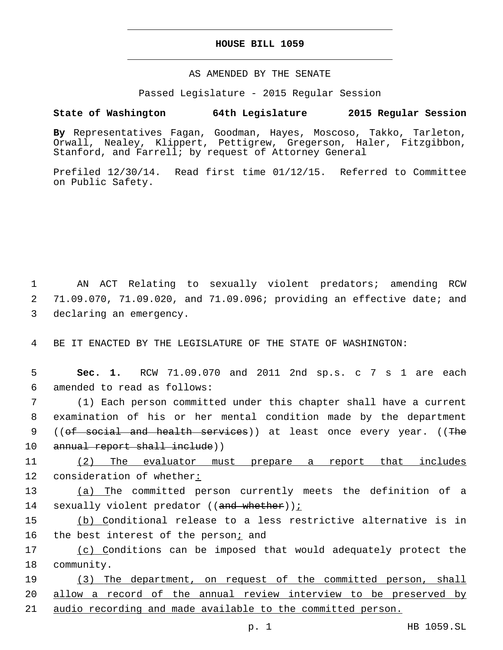## **HOUSE BILL 1059**

## AS AMENDED BY THE SENATE

Passed Legislature - 2015 Regular Session

# **State of Washington 64th Legislature 2015 Regular Session**

**By** Representatives Fagan, Goodman, Hayes, Moscoso, Takko, Tarleton, Orwall, Nealey, Klippert, Pettigrew, Gregerson, Haler, Fitzgibbon, Stanford, and Farrell; by request of Attorney General

Prefiled 12/30/14. Read first time 01/12/15. Referred to Committee on Public Safety.

1 AN ACT Relating to sexually violent predators; amending RCW 2 71.09.070, 71.09.020, and 71.09.096; providing an effective date; and 3 declaring an emergency.

4 BE IT ENACTED BY THE LEGISLATURE OF THE STATE OF WASHINGTON:

5 **Sec. 1.** RCW 71.09.070 and 2011 2nd sp.s. c 7 s 1 are each 6 amended to read as follows:

7 (1) Each person committed under this chapter shall have a current 8 examination of his or her mental condition made by the department 9 ((of social and health services)) at least once every year. ((The 10 annual report shall include))

11 (2) The evaluator must prepare a report that includes 12 consideration of whether:

13 (a) The committed person currently meets the definition of a 14 sexually violent predator ((and whether));

15 (b) Conditional release to a less restrictive alternative is in 16 the best interest of the person; and

17 (c) Conditions can be imposed that would adequately protect the 18 community.

19 (3) The department, on request of the committed person, shall 20 allow a record of the annual review interview to be preserved by 21 audio recording and made available to the committed person.

p. 1 HB 1059.SL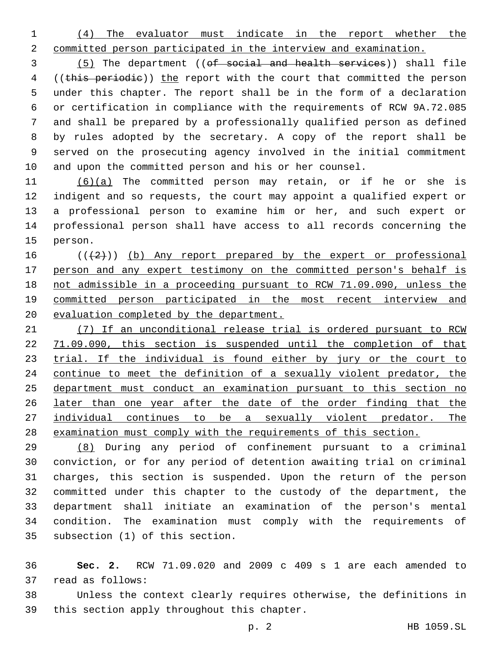(4) The evaluator must indicate in the report whether the committed person participated in the interview and examination.

 (5) The department ((of social and health services)) shall file 4 ((this periodie)) the report with the court that committed the person under this chapter. The report shall be in the form of a declaration or certification in compliance with the requirements of RCW 9A.72.085 and shall be prepared by a professionally qualified person as defined by rules adopted by the secretary. A copy of the report shall be served on the prosecuting agency involved in the initial commitment and upon the committed person and his or her counsel.

 (6)(a) The committed person may retain, or if he or she is indigent and so requests, the court may appoint a qualified expert or a professional person to examine him or her, and such expert or professional person shall have access to all records concerning the 15 person.

 $((+2)^{n})$  (b) Any report prepared by the expert or professional person and any expert testimony on the committed person's behalf is not admissible in a proceeding pursuant to RCW 71.09.090, unless the 19 committed person participated in the most recent interview and evaluation completed by the department.

 (7) If an unconditional release trial is ordered pursuant to RCW 71.09.090, this section is suspended until the completion of that 23 trial. If the individual is found either by jury or the court to continue to meet the definition of a sexually violent predator, the department must conduct an examination pursuant to this section no later than one year after the date of the order finding that the 27 individual continues to be a sexually violent predator. The examination must comply with the requirements of this section.

 (8) During any period of confinement pursuant to a criminal conviction, or for any period of detention awaiting trial on criminal charges, this section is suspended. Upon the return of the person committed under this chapter to the custody of the department, the department shall initiate an examination of the person's mental condition. The examination must comply with the requirements of 35 subsection (1) of this section.

 **Sec. 2.** RCW 71.09.020 and 2009 c 409 s 1 are each amended to read as follows:37

 Unless the context clearly requires otherwise, the definitions in 39 this section apply throughout this chapter.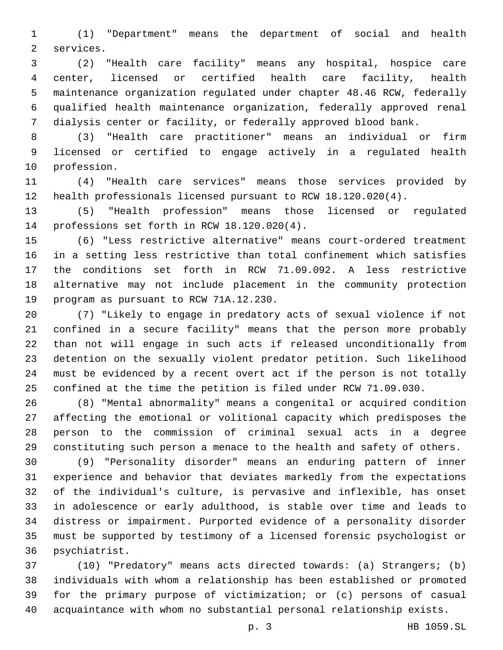(1) "Department" means the department of social and health 2 services.

 (2) "Health care facility" means any hospital, hospice care center, licensed or certified health care facility, health maintenance organization regulated under chapter 48.46 RCW, federally qualified health maintenance organization, federally approved renal dialysis center or facility, or federally approved blood bank.

 (3) "Health care practitioner" means an individual or firm licensed or certified to engage actively in a regulated health 10 profession.

 (4) "Health care services" means those services provided by health professionals licensed pursuant to RCW 18.120.020(4).

 (5) "Health profession" means those licensed or regulated 14 professions set forth in RCW 18.120.020(4).

 (6) "Less restrictive alternative" means court-ordered treatment in a setting less restrictive than total confinement which satisfies the conditions set forth in RCW 71.09.092. A less restrictive alternative may not include placement in the community protection 19 program as pursuant to RCW 71A.12.230.

 (7) "Likely to engage in predatory acts of sexual violence if not confined in a secure facility" means that the person more probably than not will engage in such acts if released unconditionally from detention on the sexually violent predator petition. Such likelihood must be evidenced by a recent overt act if the person is not totally confined at the time the petition is filed under RCW 71.09.030.

 (8) "Mental abnormality" means a congenital or acquired condition affecting the emotional or volitional capacity which predisposes the person to the commission of criminal sexual acts in a degree constituting such person a menace to the health and safety of others.

 (9) "Personality disorder" means an enduring pattern of inner experience and behavior that deviates markedly from the expectations of the individual's culture, is pervasive and inflexible, has onset in adolescence or early adulthood, is stable over time and leads to distress or impairment. Purported evidence of a personality disorder must be supported by testimony of a licensed forensic psychologist or 36 psychiatrist.

 (10) "Predatory" means acts directed towards: (a) Strangers; (b) individuals with whom a relationship has been established or promoted for the primary purpose of victimization; or (c) persons of casual acquaintance with whom no substantial personal relationship exists.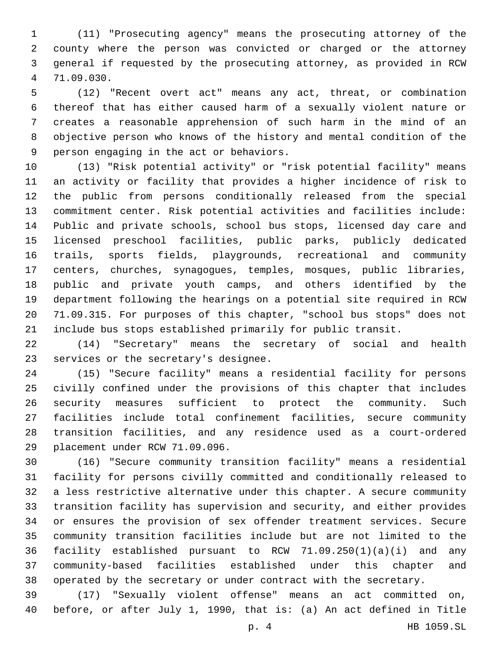(11) "Prosecuting agency" means the prosecuting attorney of the county where the person was convicted or charged or the attorney general if requested by the prosecuting attorney, as provided in RCW 71.09.030.4

 (12) "Recent overt act" means any act, threat, or combination thereof that has either caused harm of a sexually violent nature or creates a reasonable apprehension of such harm in the mind of an objective person who knows of the history and mental condition of the 9 person engaging in the act or behaviors.

 (13) "Risk potential activity" or "risk potential facility" means an activity or facility that provides a higher incidence of risk to the public from persons conditionally released from the special commitment center. Risk potential activities and facilities include: Public and private schools, school bus stops, licensed day care and licensed preschool facilities, public parks, publicly dedicated trails, sports fields, playgrounds, recreational and community centers, churches, synagogues, temples, mosques, public libraries, public and private youth camps, and others identified by the department following the hearings on a potential site required in RCW 71.09.315. For purposes of this chapter, "school bus stops" does not include bus stops established primarily for public transit.

 (14) "Secretary" means the secretary of social and health 23 services or the secretary's designee.

 (15) "Secure facility" means a residential facility for persons civilly confined under the provisions of this chapter that includes security measures sufficient to protect the community. Such facilities include total confinement facilities, secure community transition facilities, and any residence used as a court-ordered 29 placement under RCW 71.09.096.

 (16) "Secure community transition facility" means a residential facility for persons civilly committed and conditionally released to a less restrictive alternative under this chapter. A secure community transition facility has supervision and security, and either provides or ensures the provision of sex offender treatment services. Secure community transition facilities include but are not limited to the facility established pursuant to RCW 71.09.250(1)(a)(i) and any community-based facilities established under this chapter and operated by the secretary or under contract with the secretary.

 (17) "Sexually violent offense" means an act committed on, before, or after July 1, 1990, that is: (a) An act defined in Title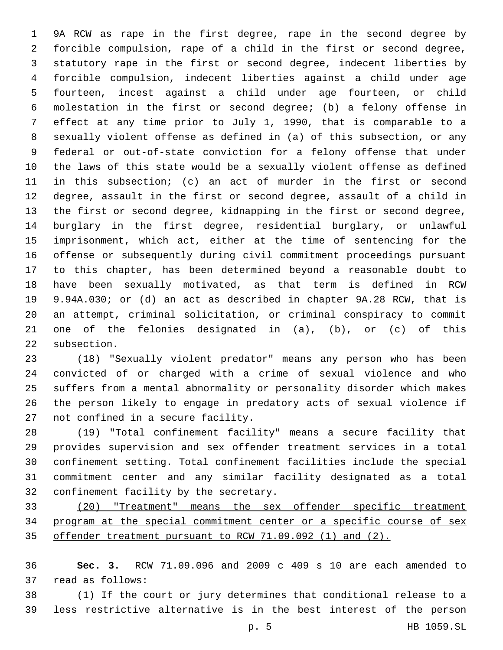9A RCW as rape in the first degree, rape in the second degree by forcible compulsion, rape of a child in the first or second degree, statutory rape in the first or second degree, indecent liberties by forcible compulsion, indecent liberties against a child under age fourteen, incest against a child under age fourteen, or child molestation in the first or second degree; (b) a felony offense in effect at any time prior to July 1, 1990, that is comparable to a sexually violent offense as defined in (a) of this subsection, or any federal or out-of-state conviction for a felony offense that under the laws of this state would be a sexually violent offense as defined in this subsection; (c) an act of murder in the first or second degree, assault in the first or second degree, assault of a child in the first or second degree, kidnapping in the first or second degree, burglary in the first degree, residential burglary, or unlawful imprisonment, which act, either at the time of sentencing for the offense or subsequently during civil commitment proceedings pursuant to this chapter, has been determined beyond a reasonable doubt to have been sexually motivated, as that term is defined in RCW 9.94A.030; or (d) an act as described in chapter 9A.28 RCW, that is an attempt, criminal solicitation, or criminal conspiracy to commit one of the felonies designated in (a), (b), or (c) of this 22 subsection.

 (18) "Sexually violent predator" means any person who has been convicted of or charged with a crime of sexual violence and who suffers from a mental abnormality or personality disorder which makes the person likely to engage in predatory acts of sexual violence if 27 not confined in a secure facility.

 (19) "Total confinement facility" means a secure facility that provides supervision and sex offender treatment services in a total confinement setting. Total confinement facilities include the special commitment center and any similar facility designated as a total 32 confinement facility by the secretary.

 (20) "Treatment" means the sex offender specific treatment program at the special commitment center or a specific course of sex offender treatment pursuant to RCW 71.09.092 (1) and (2).

 **Sec. 3.** RCW 71.09.096 and 2009 c 409 s 10 are each amended to 37 read as follows:

 (1) If the court or jury determines that conditional release to a less restrictive alternative is in the best interest of the person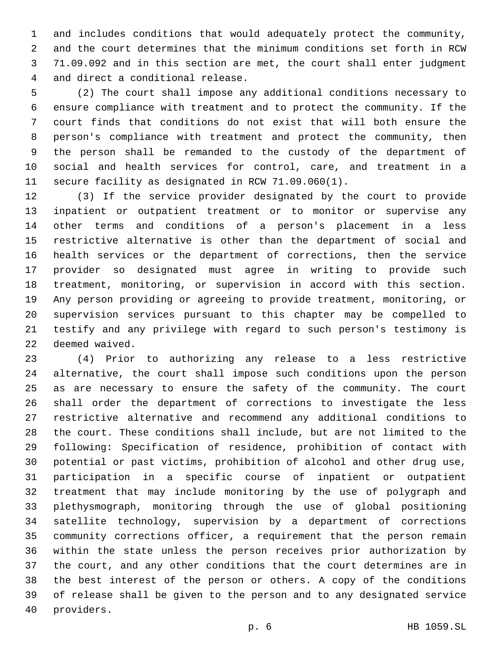and includes conditions that would adequately protect the community, and the court determines that the minimum conditions set forth in RCW 71.09.092 and in this section are met, the court shall enter judgment 4 and direct a conditional release.

 (2) The court shall impose any additional conditions necessary to ensure compliance with treatment and to protect the community. If the court finds that conditions do not exist that will both ensure the person's compliance with treatment and protect the community, then the person shall be remanded to the custody of the department of social and health services for control, care, and treatment in a secure facility as designated in RCW 71.09.060(1).

 (3) If the service provider designated by the court to provide inpatient or outpatient treatment or to monitor or supervise any other terms and conditions of a person's placement in a less restrictive alternative is other than the department of social and health services or the department of corrections, then the service provider so designated must agree in writing to provide such treatment, monitoring, or supervision in accord with this section. Any person providing or agreeing to provide treatment, monitoring, or supervision services pursuant to this chapter may be compelled to testify and any privilege with regard to such person's testimony is 22 deemed waived.

 (4) Prior to authorizing any release to a less restrictive alternative, the court shall impose such conditions upon the person as are necessary to ensure the safety of the community. The court shall order the department of corrections to investigate the less restrictive alternative and recommend any additional conditions to the court. These conditions shall include, but are not limited to the following: Specification of residence, prohibition of contact with potential or past victims, prohibition of alcohol and other drug use, participation in a specific course of inpatient or outpatient treatment that may include monitoring by the use of polygraph and plethysmograph, monitoring through the use of global positioning satellite technology, supervision by a department of corrections community corrections officer, a requirement that the person remain within the state unless the person receives prior authorization by the court, and any other conditions that the court determines are in the best interest of the person or others. A copy of the conditions of release shall be given to the person and to any designated service 40 providers.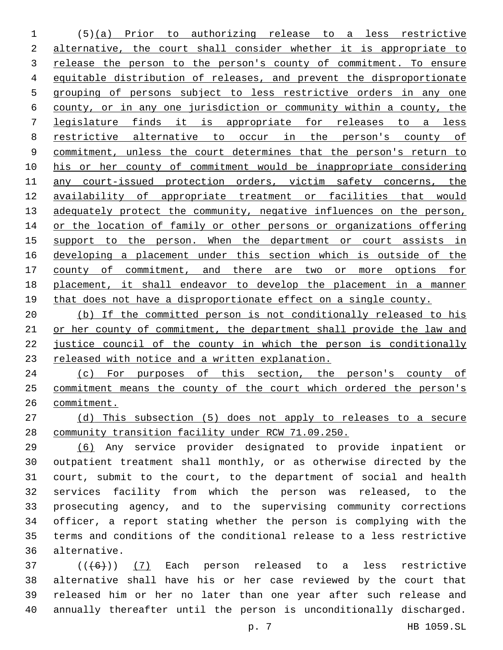(5)(a) Prior to authorizing release to a less restrictive 2 alternative, the court shall consider whether it is appropriate to 3 release the person to the person's county of commitment. To ensure equitable distribution of releases, and prevent the disproportionate grouping of persons subject to less restrictive orders in any one county, or in any one jurisdiction or community within a county, the legislature finds it is appropriate for releases to a less restrictive alternative to occur in the person's county of commitment, unless the court determines that the person's return to his or her county of commitment would be inappropriate considering any court-issued protection orders, victim safety concerns, the availability of appropriate treatment or facilities that would 13 adequately protect the community, negative influences on the person, 14 or the location of family or other persons or organizations offering 15 support to the person. When the department or court assists in developing a placement under this section which is outside of the 17 county of commitment, and there are two or more options for placement, it shall endeavor to develop the placement in a manner 19 that does not have a disproportionate effect on a single county.

 (b) If the committed person is not conditionally released to his or her county of commitment, the department shall provide the law and justice council of the county in which the person is conditionally released with notice and a written explanation.

 (c) For purposes of this section, the person's county of commitment means the county of the court which ordered the person's commitment.

 (d) This subsection (5) does not apply to releases to a secure community transition facility under RCW 71.09.250.

 (6) Any service provider designated to provide inpatient or outpatient treatment shall monthly, or as otherwise directed by the court, submit to the court, to the department of social and health services facility from which the person was released, to the prosecuting agency, and to the supervising community corrections officer, a report stating whether the person is complying with the terms and conditions of the conditional release to a less restrictive alternative.36

 (( $(6+)$ )  $(7)$  Each person released to a less restrictive alternative shall have his or her case reviewed by the court that released him or her no later than one year after such release and annually thereafter until the person is unconditionally discharged.